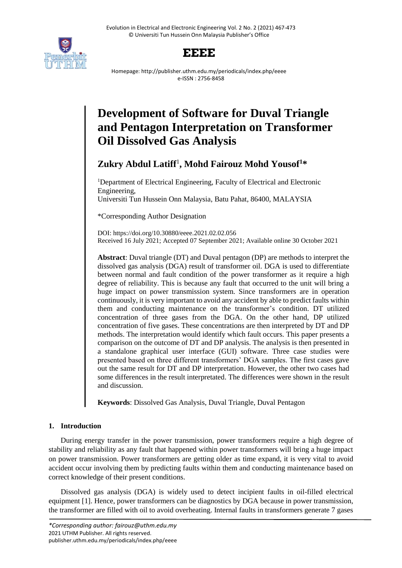



Homepage: http://publisher.uthm.edu.my/periodicals/index.php/eeee e-ISSN : 2756-8458

# **Development of Software for Duval Triangle and Pentagon Interpretation on Transformer Oil Dissolved Gas Analysis**

# **Zukry Abdul Latiff**<sup>1</sup> **, Mohd Fairouz Mohd Yousof<sup>1</sup>\***

<sup>1</sup>Department of Electrical Engineering, Faculty of Electrical and Electronic Engineering, Universiti Tun Hussein Onn Malaysia, Batu Pahat, 86400, MALAYSIA

\*Corresponding Author Designation

DOI: https://doi.org/10.30880/eeee.2021.02.02.056 Received 16 July 2021; Accepted 07 September 2021; Available online 30 October 2021

**Abstract**: Duval triangle (DT) and Duval pentagon (DP) are methods to interpret the dissolved gas analysis (DGA) result of transformer oil. DGA is used to differentiate between normal and fault condition of the power transformer as it require a high degree of reliability. This is because any fault that occurred to the unit will bring a huge impact on power transmission system. Since transformers are in operation continuously, it is very important to avoid any accident by able to predict faults within them and conducting maintenance on the transformer's condition. DT utilized concentration of three gases from the DGA. On the other hand, DP utilized concentration of five gases. These concentrations are then interpreted by DT and DP methods. The interpretation would identify which fault occurs. This paper presents a comparison on the outcome of DT and DP analysis. The analysis is then presented in a standalone graphical user interface (GUI) software. Three case studies were presented based on three different transformers' DGA samples. The first cases gave out the same result for DT and DP interpretation. However, the other two cases had some differences in the result interpretated. The differences were shown in the result and discussion.

**Keywords**: Dissolved Gas Analysis, Duval Triangle, Duval Pentagon

# **1. Introduction**

During energy transfer in the power transmission, power transformers require a high degree of stability and reliability as any fault that happened within power transformers will bring a huge impact on power transmission. Power transformers are getting older as time expand, it is very vital to avoid accident occur involving them by predicting faults within them and conducting maintenance based on correct knowledge of their present conditions.

Dissolved gas analysis (DGA) is widely used to detect incipient faults in oil-filled electrical equipment [1]. Hence, power transformers can be diagnostics by DGA because in power transmission, the transformer are filled with oil to avoid overheating. Internal faults in transformers generate 7 gases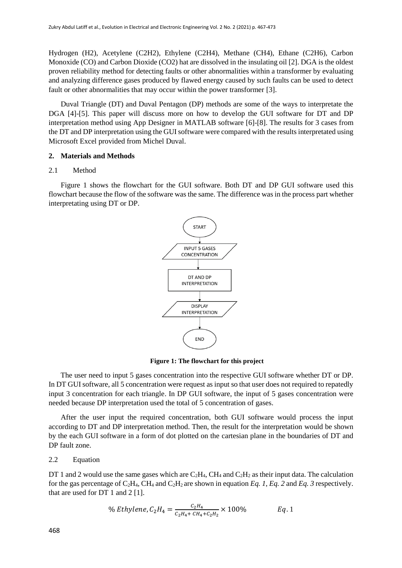Hydrogen (H2), Acetylene (C2H2), Ethylene (C2H4), Methane (CH4), Ethane (C2H6), Carbon Monoxide (CO) and Carbon Dioxide (CO2) hat are dissolved in the insulating oil [2]. DGA is the oldest proven reliability method for detecting faults or other abnormalities within a transformer by evaluating and analyzing difference gases produced by flawed energy caused by such faults can be used to detect fault or other abnormalities that may occur within the power transformer [3].

Duval Triangle (DT) and Duval Pentagon (DP) methods are some of the ways to interpretate the DGA [4]-[5]. This paper will discuss more on how to develop the GUI software for DT and DP interpretation method using App Designer in MATLAB software [6]-[8]. The results for 3 cases from the DT and DP interpretation using the GUI software were compared with the results interpretated using Microsoft Excel provided from Michel Duval.

### **2. Materials and Methods**

#### 2.1 Method

Figure 1 shows the flowchart for the GUI software. Both DT and DP GUI software used this flowchart because the flow of the software was the same. The difference was in the process part whether interpretating using DT or DP.



**Figure 1: The flowchart for this project**

The user need to input 5 gases concentration into the respective GUI software whether DT or DP. In DT GUI software, all 5 concentration were request as input so that user does not required to repatedly input 3 concentration for each triangle. In DP GUI software, the input of 5 gases concentration were needed because DP interpretation used the total of 5 concentration of gases.

After the user input the required concentration, both GUI software would process the input according to DT and DP interpretation method. Then, the result for the interpretation would be shown by the each GUI software in a form of dot plotted on the cartesian plane in the boundaries of DT and DP fault zone.

#### 2.2 Equation

DT 1 and 2 would use the same gases which are  $C_2H_4$ , CH<sub>4</sub> and  $C_2H_2$  as their input data. The calculation for the gas percentage of  $C_2H_4$ , CH<sub>4</sub> and  $C_2H_2$  are shown in equation *Eq. 1*, *Eq. 2* and *Eq.* 3 respectively. that are used for DT 1 and 2 [1].

% *Ethylene*, 
$$
C_2H_4 = \frac{C_2H_4}{C_2H_4 + CH_4 + C_2H_2} \times 100\%
$$
 *Eq.* 1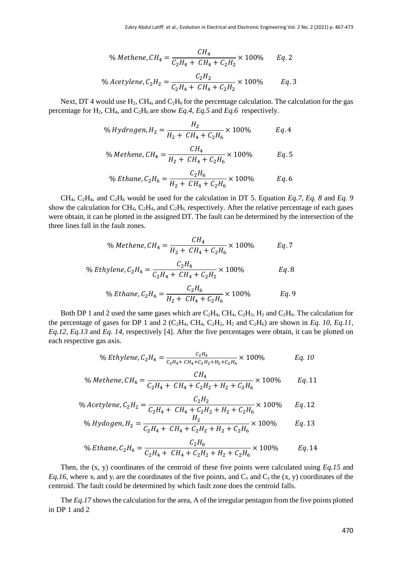% *Method*, 
$$
CH_4 = \frac{CH_4}{C_2H_4 + CH_4 + C_2H_2} \times 100\%
$$
 Eq. 2

% Acetylene, 
$$
C_2H_2 = \frac{C_2H_2}{C_2H_4 + CH_4 + C_2H_2} \times 100\%
$$
 Eq. 3

Next, DT 4 would use H<sub>2</sub>, CH<sub>4</sub>, and C<sub>2</sub>H<sub>6</sub> for the percentage calculation. The calculation for the gas percentage for  $H_2$ , CH<sub>4</sub>, and C<sub>2</sub>H<sub>6</sub> are show *Eq.4*, *Eq.5* and *Eq.6* respectively.

% Hydrogen, 
$$
H_2 = \frac{H_2}{H_2 + CH_4 + C_2 H_6} \times 100\%
$$
 Eq. 4

% *Method*, 
$$
CH_4 = \frac{CH_4}{H_2 + CH_4 + C_2H_6} \times 100\%
$$
 *Eq.* 5

% Ethane, 
$$
C_2H_6 = \frac{C_2H_6}{H_2 + CH_4 + C_2H_6} \times 100\%
$$
 *Eq.* 6

CH4, C2H4, and C2H<sup>6</sup> would be used for the calculation in DT 5. Equation *Eq.7*, *Eq. 8* and *Eq. 9* show the calculation for CH<sub>4</sub>, C<sub>2</sub>H<sub>4</sub>, and C<sub>2</sub>H<sub>6</sub>, respectively. After the relative percentage of each gases were obtain, it can be plotted in the assigned DT. The fault can be determined by the intersection of the three lines fall in the fault zones.

% *Method*, 
$$
CH_4 = \frac{CH_4}{H_2 + CH_4 + C_2H_6} \times 100\%
$$
 Eq. 7

% *Ethylene*, 
$$
C_2H_4 = \frac{C_2H_4}{C_2H_4 + CH_4 + C_2H_2} \times 100\%
$$
 *Eq.* 8

% *Ethane*, 
$$
C_2H_6 = \frac{C_2H_6}{H_2 + CH_4 + C_2H_6} \times 100\%
$$
 *Eq.* 9

Both DP 1 and 2 used the same gases which are  $C_2H_4$ ,  $CH_4$ ,  $C_2H_2$ ,  $H_2$  and  $C_2H_6$ . The calculation for the percentage of gases for DP 1 and 2 (C<sub>2</sub>H<sub>4</sub>, C<sub>H<sub>4</sub>, C<sub>2</sub>H<sub>2</sub>, H<sub>2</sub> and C<sub>2</sub>H<sub>6</sub>) are shown in *Eq. 10, Eq.11*,</sub> *Eq.12, Eq.13* and *Eq. 14*, respectively [4]. After the five percentages were obtain, it can be plotted on each respective gas axis.

% *Ethylene*, 
$$
C_2H_4 = \frac{C_2H_4}{C_2H_4 + CH_4 + C_2H_2 + H_2 + C_2H_6}
$$
 × 100% *Eq. 10*

% *Method*, 
$$
CH_4 = \frac{CH_4}{C_2H_4 + CH_4 + C_2H_2 + H_2 + C_2H_6}
$$
 × 100% *Eq.* 11

% Acetylene, 
$$
C_2H_2 = \frac{C_2H_2}{C_2H_4 + CH_4 + C_2H_2 + H_2 + C_2H_6} \times 100\%
$$
 Eq. 12

% Hydrogen, 
$$
H_2 = \frac{H_2}{C_2H_4 + CH_4 + C_2H_2 + H_2 + C_2H_6} \times 100\%
$$
 Eq. 13

% Ethane, 
$$
C_2H_6 = \frac{C_2H_6}{C_2H_4 + CH_4 + C_2H_2 + H_2 + C_2H_6} \times 100\%
$$
 Eq. 14

Then, the (x, y) coordinates of the centroid of these five points were calculated using *Eq.15* and *Eq.16,* where  $x_i$  and  $y_i$  are the coordinates of the five points, and  $C_x$  and  $C_y$  the  $(x, y)$  coordinates of the centroid. The fault could be determined by which fault zone does the centroid falls.

The *Eq.17* shows the calculation for the area, A of the irregular pentagon from the five points plotted in DP 1 and 2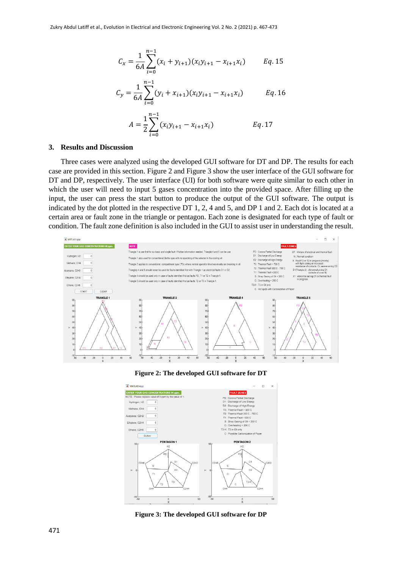$$
C_x = \frac{1}{6A} \sum_{i=0}^{n-1} (x_i + y_{i+1})(x_i y_{i+1} - x_{i+1} x_i) \qquad Eq. 15
$$

$$
C_{y} = \frac{1}{6A} \sum_{i=0}^{n-1} (y_i + x_{i+1})(x_i y_{i+1} - x_{i+1} x_i)
$$
 Eq. 16

$$
A = \frac{1}{2} \sum_{i=0}^{n-1} (x_i y_{i+1} - x_{i+1} x_i)
$$
 Eq. 17

#### **3. Results and Discussion**

Three cases were analyzed using the developed GUI software for DT and DP. The results for each case are provided in this section. Figure 2 and Figure 3 show the user interface of the GUI software for DT and DP, respectively. The user interface (UI) for both software were quite similar to each other in which the user will need to input 5 gases concentration into the provided space. After filling up the input, the user can press the start button to produce the output of the GUI software. The output is indicated by the dot plotted in the respective DT 1, 2, 4 and 5, and DP 1 and 2. Each dot is located at a certain area or fault zone in the triangle or pentagon. Each zone is designated for each type of fault or condition. The fault zone definition is also included in the GUI to assist user in understanding the result.



**Figure 2: The developed GUI software for DT**



**Figure 3: The developed GUI software for DP**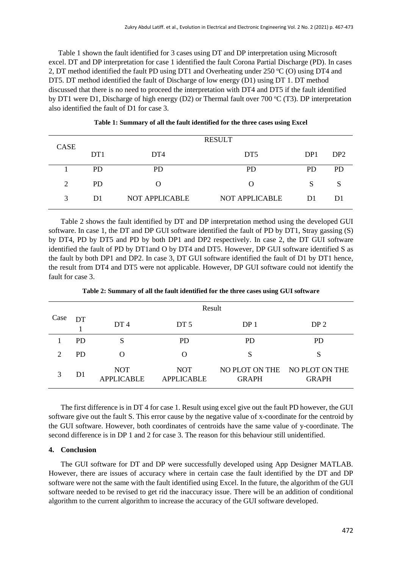Table 1 shown the fault identified for 3 cases using DT and DP interpretation using Microsoft excel. DT and DP interpretation for case 1 identified the fault Corona Partial Discharge (PD). In cases 2, DT method identified the fault PD using DT1 and Overheating under 250  $\degree$ C (O) using DT4 and DT5. DT method identified the fault of Discharge of low energy (D1) using DT 1. DT method discussed that there is no need to proceed the interpretation with DT4 and DT5 if the fault identified by DT1 were D1, Discharge of high energy (D2) or Thermal fault over 700  $\degree$ C (T3). DP interpretation also identified the fault of D1 for case 3.

| CASE | <b>RESULT</b>   |                       |                       |                 |                 |  |  |
|------|-----------------|-----------------------|-----------------------|-----------------|-----------------|--|--|
|      | DT <sub>1</sub> | DT <sub>4</sub>       | DT <sub>5</sub>       | DP <sub>1</sub> | DP <sub>2</sub> |  |  |
|      | <b>PD</b>       | PD                    | <b>PD</b>             | PD              | <b>PD</b>       |  |  |
| 2    | PD.             |                       | $\Omega$              | S               |                 |  |  |
| 3    | D1              | <b>NOT APPLICABLE</b> | <b>NOT APPLICABLE</b> | D1              | D1              |  |  |

**Table 1: Summary of all the fault identified for the three cases using Excel**

Table 2 shows the fault identified by DT and DP interpretation method using the developed GUI software. In case 1, the DT and DP GUI software identified the fault of PD by DT1, Stray gassing (S) by DT4, PD by DT5 and PD by both DP1 and DP2 respectively. In case 2, the DT GUI software identified the fault of PD by DT1and O by DT4 and DT5. However, DP GUI software identified S as the fault by both DP1 and DP2. In case 3, DT GUI software identified the fault of D1 by DT1 hence, the result from DT4 and DT5 were not applicable. However, DP GUI software could not identify the fault for case 3.

| Case                        | Result         |                                 |                                 |                                |                                |  |  |  |
|-----------------------------|----------------|---------------------------------|---------------------------------|--------------------------------|--------------------------------|--|--|--|
|                             | DT             | DT <sub>4</sub>                 | DT <sub>5</sub>                 | DP 1                           | DP <sub>2</sub>                |  |  |  |
|                             | <b>PD</b>      | S                               | <b>PD</b>                       | <b>PD</b>                      | <b>PD</b>                      |  |  |  |
| $\mathcal{D}_{\mathcal{L}}$ | <b>PD</b>      |                                 | O                               | S                              | S                              |  |  |  |
| 3                           | D <sub>1</sub> | <b>NOT</b><br><b>APPLICABLE</b> | <b>NOT</b><br><b>APPLICABLE</b> | NO PLOT ON THE<br><b>GRAPH</b> | NO PLOT ON THE<br><b>GRAPH</b> |  |  |  |

**Table 2: Summary of all the fault identified for the three cases using GUI software**

The first difference is in DT 4 for case 1. Result using excel give out the fault PD however, the GUI software give out the fault S. This error cause by the negative value of x-coordinate for the centroid by the GUI software. However, both coordinates of centroids have the same value of y-coordinate. The second difference is in DP 1 and 2 for case 3. The reason for this behaviour still unidentified.

#### **4. Conclusion**

The GUI software for DT and DP were successfully developed using App Designer MATLAB. However, there are issues of accuracy where in certain case the fault identified by the DT and DP software were not the same with the fault identified using Excel. In the future, the algorithm of the GUI software needed to be revised to get rid the inaccuracy issue. There will be an addition of conditional algorithm to the current algorithm to increase the accuracy of the GUI software developed.